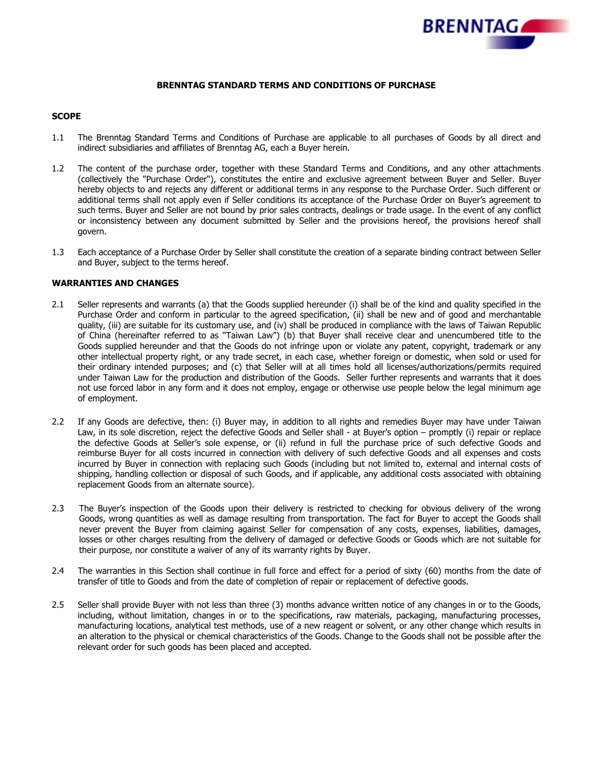

## **BRENNTAG STANDARD TERMS AND CONDITIONS OF PURCHASE**

### **SCOPE**

- 1.1 The Brenntag Standard Terms and Conditions of Purchase are applicable to all purchases of Goods by all direct and indirect subsidiaries and affiliates of Brenntag AG, each a Buyer herein.
- 1.2 The content of the purchase order, together with these Standard Terms and Conditions, and any other attachments (collectively the "Purchase Order"), constitutes the entire and exclusive agreement between Buyer and Seller. Buyer hereby objects to and rejects any different or additional terms in any response to the Purchase Order. Such different or additional terms shall not apply even if Seller conditions its acceptance of the Purchase Order on Buyer's agreement to such terms. Buyer and Seller are not bound by prior sales contracts, dealings or trade usage. In the event of any conflict or inconsistency between any document submitted by Seller and the provisions hereof, the provisions hereof shall govern.
- 1.3 Each acceptance of a Purchase Order by Seller shall constitute the creation of a separate binding contract between Seller and Buyer, subject to the terms hereof.

#### **WARRANTIES AND CHANGES**

- 2.1 Seller represents and warrants (a) that the Goods supplied hereunder (i) shall be of the kind and quality specified in the Purchase Order and conform in particular to the agreed specification, (ii) shall be new and of good and merchantable quality, (iii) are suitable for its customary use, and (iv) shall be produced in compliance with the laws of Taiwan Republic of China (hereinafter referred to as "Taiwan Law") (b) that Buyer shall receive clear and unencumbered title to the Goods supplied hereunder and that the Goods do not infringe upon or violate any patent, copyright, trademark or any other intellectual property right, or any trade secret, in each case, whether foreign or domestic, when sold or used for their ordinary intended purposes; and (c) that Seller will at all times hold all licenses/authorizations/permits required under Taiwan Law for the production and distribution of the Goods. Seller further represents and warrants that it does not use forced labor in any form and it does not employ, engage or otherwise use people below the legal minimum age of employment.
- 2.2 If any Goods are defective, then: (i) Buyer may, in addition to all rights and remedies Buyer may have under Taiwan Law, in its sole discretion, reject the defective Goods and Seller shall - at Buyer's option – promptly (i) repair or replace the defective Goods at Seller's sole expense, or (ii) refund in full the purchase price of such defective Goods and reimburse Buyer for all costs incurred in connection with delivery of such defective Goods and all expenses and costs incurred by Buyer in connection with replacing such Goods (including but not limited to, external and internal costs of shipping, handling collection or disposal of such Goods, and if applicable, any additional costs associated with obtaining replacement Goods from an alternate source).
- 2.3 The Buyer's inspection of the Goods upon their delivery is restricted to checking for obvious delivery of the wrong Goods, wrong quantities as well as damage resulting from transportation. The fact for Buyer to accept the Goods shall never prevent the Buyer from claiming against Seller for compensation of any costs, expenses, liabilities, damages, losses or other charges resulting from the delivery of damaged or defective Goods or Goods which are not suitable for their purpose, nor constitute a waiver of any of its warranty rights by Buyer.
- 2.4 The warranties in this Section shall continue in full force and effect for a period of sixty (60) months from the date of transfer of title to Goods and from the date of completion of repair or replacement of defective goods.
- 2.5 Seller shall provide Buyer with not less than three (3) months advance written notice of any changes in or to the Goods, including, without limitation, changes in or to the specifications, raw materials, packaging, manufacturing processes, manufacturing locations, analytical test methods, use of a new reagent or solvent, or any other change which results in an alteration to the physical or chemical characteristics of the Goods. Change to the Goods shall not be possible after the relevant order for such goods has been placed and accepted.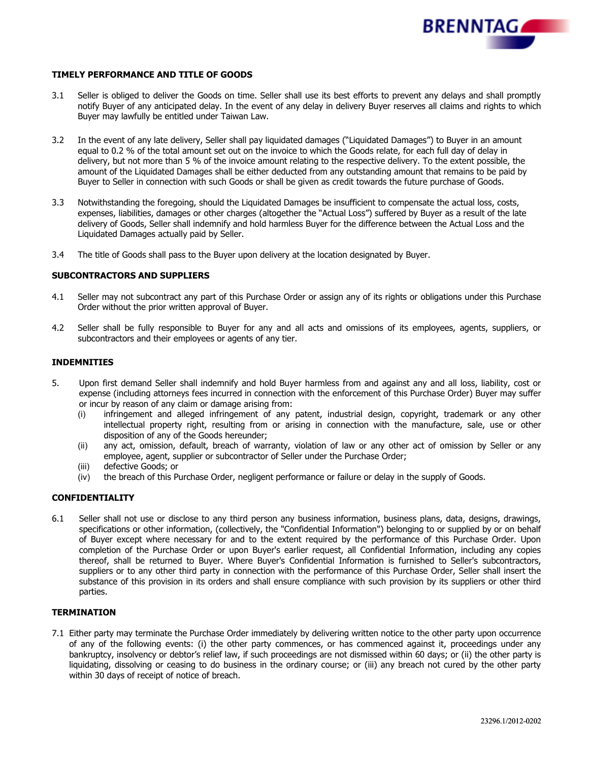

### **TIMELY PERFORMANCE AND TITLE OF GOODS**

- 3.1 Seller is obliged to deliver the Goods on time. Seller shall use its best efforts to prevent any delays and shall promptly notify Buyer of any anticipated delay. In the event of any delay in delivery Buyer reserves all claims and rights to which Buyer may lawfully be entitled under Taiwan Law.
- 3.2 In the event of any late delivery, Seller shall pay liquidated damages ("Liquidated Damages") to Buyer in an amount equal to 0.2 % of the total amount set out on the invoice to which the Goods relate, for each full day of delay in delivery, but not more than 5 % of the invoice amount relating to the respective delivery. To the extent possible, the amount of the Liquidated Damages shall be either deducted from any outstanding amount that remains to be paid by Buyer to Seller in connection with such Goods or shall be given as credit towards the future purchase of Goods.
- 3.3 Notwithstanding the foregoing, should the Liquidated Damages be insufficient to compensate the actual loss, costs, expenses, liabilities, damages or other charges (altogether the "Actual Loss") suffered by Buyer as a result of the late delivery of Goods, Seller shall indemnify and hold harmless Buyer for the difference between the Actual Loss and the Liquidated Damages actually paid by Seller.
- 3.4 The title of Goods shall pass to the Buyer upon delivery at the location designated by Buyer.

#### **SUBCONTRACTORS AND SUPPLIERS**

- 4.1 Seller may not subcontract any part of this Purchase Order or assign any of its rights or obligations under this Purchase Order without the prior written approval of Buyer.
- 4.2 Seller shall be fully responsible to Buyer for any and all acts and omissions of its employees, agents, suppliers, or subcontractors and their employees or agents of any tier.

#### **INDEMNITIES**

- 5. Upon first demand Seller shall indemnify and hold Buyer harmless from and against any and all loss, liability, cost or expense (including attorneys fees incurred in connection with the enforcement of this Purchase Order) Buyer may suffer or incur by reason of any claim or damage arising from:
	- (i) infringement and alleged infringement of any patent, industrial design, copyright, trademark or any other intellectual property right, resulting from or arising in connection with the manufacture, sale, use or other disposition of any of the Goods hereunder;
	- (ii) any act, omission, default, breach of warranty, violation of law or any other act of omission by Seller or any employee, agent, supplier or subcontractor of Seller under the Purchase Order;
	- (iii) defective Goods; or<br>(iv) the breach of this Pu
	- the breach of this Purchase Order, negligent performance or failure or delay in the supply of Goods.

#### **CONFIDENTIALITY**

6.1 Seller shall not use or disclose to any third person any business information, business plans, data, designs, drawings, specifications or other information, (collectively, the "Confidential Information") belonging to or supplied by or on behalf of Buyer except where necessary for and to the extent required by the performance of this Purchase Order. Upon completion of the Purchase Order or upon Buyer's earlier request, all Confidential Information, including any copies thereof, shall be returned to Buyer. Where Buyer's Confidential Information is furnished to Seller's subcontractors, suppliers or to any other third party in connection with the performance of this Purchase Order, Seller shall insert the substance of this provision in its orders and shall ensure compliance with such provision by its suppliers or other third parties.

# **TERMINATION**

7.1 Either party may terminate the Purchase Order immediately by delivering written notice to the other party upon occurrence of any of the following events: (i) the other party commences, or has commenced against it, proceedings under any bankruptcy, insolvency or debtor's relief law, if such proceedings are not dismissed within 60 days; or (ii) the other party is liquidating, dissolving or ceasing to do business in the ordinary course; or (iii) any breach not cured by the other party within 30 days of receipt of notice of breach.